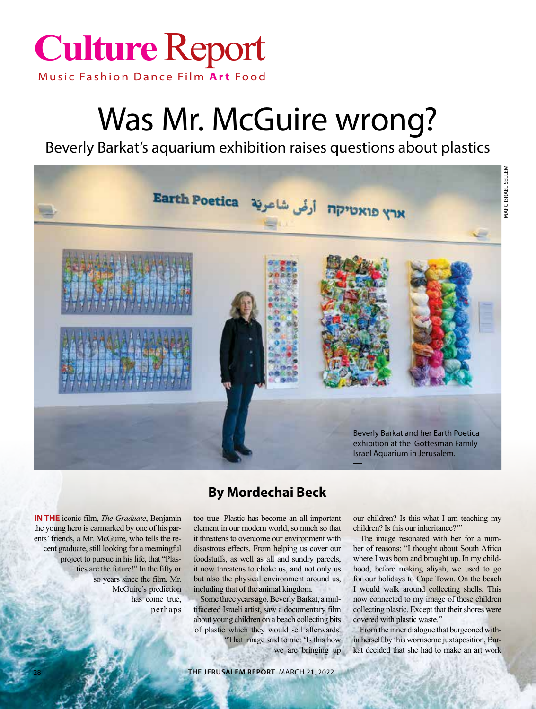

## Was Mr. McGuire wrong?

Beverly Barkat's aquarium exhibition raises questions about plastics



**In the** iconic film, *The Graduate*, Benjamin the young hero is earmarked by one of his parents' friends, a Mr. McGuire, who tells the recent graduate, still looking for a meaningful project to pursue in his life, that "Plastics are the future!" In the fifty or so years since the film, Mr. McGuire's prediction has come true, perhaps

## **By Mordechai Beck**

too true. Plastic has become an all-important element in our modern world, so much so that it threatens to overcome our environment with disastrous effects. From helping us cover our foodstuffs, as well as all and sundry parcels, it now threatens to choke us, and not only us but also the physical environment around us, including that of the animal kingdom.

Some three years ago, Beverly Barkat, a multifaceted Israeli artist, saw a documentary film about young children on a beach collecting bits of plastic which they would sell afterwards.

> "That image said to me: 'Is this how we are bringing up

our children? Is this what I am teaching my children? Is this our inheritance?""

The image resonated with her for a number of reasons: "I thought about South Africa where I was born and brought up. In my childhood, before making aliyah, we used to go for our holidays to Cape Town. On the beach I would walk around collecting shells. This now connected to my image of these children collecting plastic. Except that their shores were covered with plastic waste."

From the inner dialogue that burgeoned within herself by this worrisome juxtaposition, Barkat decided that she had to make an art work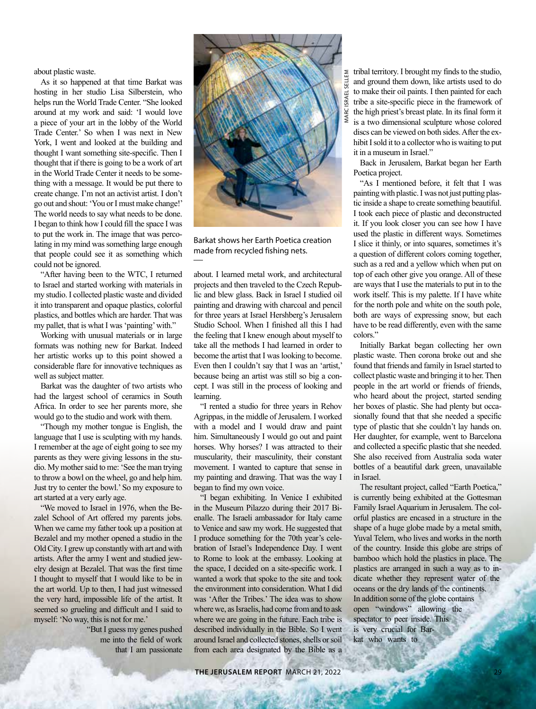about plastic waste.

As it so happened at that time Barkat was hosting in her studio Lisa Silberstein, who helps run the World Trade Center. "She looked around at my work and said: 'I would love a piece of your art in the lobby of the World Trade Center.' So when I was next in New York, I went and looked at the building and thought I want something site-specific. Then I thought that if there is going to be a work of art in the World Trade Center it needs to be something with a message. It would be put there to create change. I'm not an activist artist. I don't go out and shout: 'You or I must make change!' The world needs to say what needs to be done. I began to think how I could fill the space I was to put the work in. The image that was percolating in my mind was something large enough that people could see it as something which could not be ignored.

"After having been to the WTC, I returned to Israel and started working with materials in my studio. I collected plastic waste and divided it into transparent and opaque plastics, colorful plastics, and bottles which are harder. That was my pallet, that is what I was 'painting' with."

Working with unusual materials or in large formats was nothing new for Barkat. Indeed her artistic works up to this point showed a considerable flare for innovative techniques as well as subject matter.

Barkat was the daughter of two artists who had the largest school of ceramics in South Africa. In order to see her parents more, she would go to the studio and work with them.

"Though my mother tongue is English, the language that I use is sculpting with my hands. I remember at the age of eight going to see my parents as they were giving lessons in the studio. My mother said to me: 'See the man trying to throw a bowl on the wheel, go and help him. Just try to center the bowl.' So my exposure to art started at a very early age.

"We moved to Israel in 1976, when the Bezalel School of Art offered my parents jobs. When we came my father took up a position at Bezalel and my mother opened a studio in the Old City. I grew up constantly with art and with artists. After the army I went and studied jewelry design at Bezalel. That was the first time I thought to myself that I would like to be in the art world. Up to then, I had just witnessed the very hard, impossible life of the artist. It seemed so grueling and difficult and I said to myself: 'No way, this is not for me.'

> "But I guess my genes pushed me into the field of work that I am passionate



Barkat shows her Earth Poetica creation made from recycled fishing nets.

about. I learned metal work, and architectural projects and then traveled to the Czech Republic and blew glass. Back in Israel I studied oil painting and drawing with charcoal and pencil for three years at Israel Hershberg's Jerusalem Studio School. When I finished all this I had the feeling that I knew enough about myself to take all the methods I had learned in order to become the artist that I was looking to become. Even then I couldn't say that I was an 'artist,' because being an artist was still so big a concept. I was still in the process of looking and learning.

"I rented a studio for three years in Rehov Agrippas, in the middle of Jerusalem. I worked with a model and I would draw and paint him. Simultaneously I would go out and paint horses. Why horses? I was attracted to their muscularity, their masculinity, their constant movement. I wanted to capture that sense in my painting and drawing. That was the way I began to find my own voice.

"I began exhibiting. In Venice I exhibited in the Museum Pilazzo during their 2017 Bienalle. The Israeli ambassador for Italy came to Venice and saw my work. He suggested that I produce something for the 70th year's celebration of Israel's Independence Day. I went to Rome to look at the embassy. Looking at the space, I decided on a site-specific work. I wanted a work that spoke to the site and took the environment into consideration. What I did was 'After the Tribes.' The idea was to show where we, as Israelis, had come from and to ask where we are going in the future. Each tribe is described individually in the Bible. So I went around Israel and collected stones, shells or soil from each area designated by the Bible as a

tribal territory. I brought my finds to the studio, and ground them down, like artists used to do to make their oil paints. I then painted for each tribe a site-specific piece in the framework of the high priest's breast plate. In its final form it is a two dimensional sculpture whose colored discs can be viewed on both sides. After the exhibit I sold it to a collector who is waiting to put it in a museum in Israel."

Back in Jerusalem, Barkat began her Earth Poetica project.

"As I mentioned before, it felt that I was painting with plastic. I was not just putting plastic inside a shape to create something beautiful. I took each piece of plastic and deconstructed it. If you look closer you can see how I have used the plastic in different ways. Sometimes I slice it thinly, or into squares, sometimes it's a question of different colors coming together, such as a red and a yellow which when put on top of each other give you orange. All of these are ways that I use the materials to put in to the work itself. This is my palette. If I have white for the north pole and white on the south pole, both are ways of expressing snow, but each have to be read differently, even with the same colors."

Initially Barkat began collecting her own plastic waste. Then corona broke out and she found that friends and family in Israel started to collect plastic waste and bringing it to her. Then people in the art world or friends of friends, who heard about the project, started sending her boxes of plastic. She had plenty but occasionally found that that she needed a specific type of plastic that she couldn't lay hands on. Her daughter, for example, went to Barcelona and collected a specific plastic that she needed. She also received from Australia soda water bottles of a beautiful dark green, unavailable in Israel.

The resultant project, called "Earth Poetica," is currently being exhibited at the Gottesman Family Israel Aquarium in Jerusalem. The colorful plastics are encased in a structure in the shape of a huge globe made by a metal smith, Yuval Telem, who lives and works in the north of the country. Inside this globe are strips of bamboo which hold the plastics in place. The plastics are arranged in such a way as to indicate whether they represent water of the oceans or the dry lands of the continents. In addition some of the globe contains open "windows" allowing the spectator to peer inside. This is very crucial for Barkat who wants to